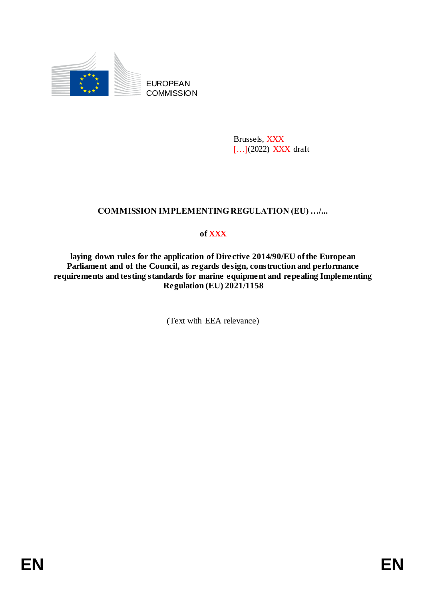

EUROPEAN **COMMISSION** 

> Brussels, XXX [...](2022) XXX draft

# **COMMISSION IMPLEMENTING REGULATION (EU) …/...**

# **of XXX**

**laying down rules for the application of Directive 2014/90/EU of the European Parliament and of the Council, as regards design, construction and performance requirements and testing standards for marine equipment and repealing Implementing Regulation (EU) 2021/1158**

(Text with EEA relevance)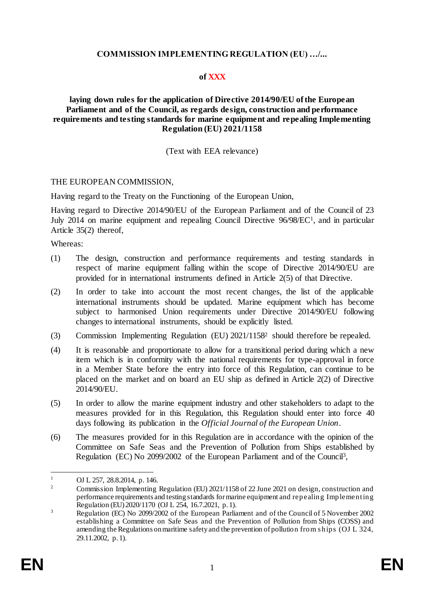## **COMMISSION IMPLEMENTING REGULATION (EU) …/...**

## **of XXX**

## **laying down rules for the application of Directive 2014/90/EU of the European Parliament and of the Council, as regards design, construction and performance requirements and testing standards for marine equipment and repealing Implementing Regulation (EU) 2021/1158**

### (Text with EEA relevance)

#### THE EUROPEAN COMMISSION,

Having regard to the Treaty on the Functioning of the European Union,

Having regard to Directive 2014/90/EU of the European Parliament and of the Council of 23 July 2014 on marine equipment and repealing Council Directive 96/98/EC<sup>1</sup>, and in particular Article 35(2) thereof,

Whereas:

- (1) The design, construction and performance requirements and testing standards in respect of marine equipment falling within the scope of Directive 2014/90/EU are provided for in international instruments defined in Article 2(5) of that Directive.
- (2) In order to take into account the most recent changes, the list of the applicable international instruments should be updated. Marine equipment which has become subject to harmonised Union requirements under Directive 2014/90/EU following changes to international instruments, should be explicitly listed.
- (3) Commission Implementing Regulation (EU) 2021/1158<sup>2</sup> should therefore be repealed.
- (4) It is reasonable and proportionate to allow for a transitional period during which a new item which is in conformity with the national requirements for type-approval in force in a Member State before the entry into force of this Regulation, can continue to be placed on the market and on board an EU ship as defined in Article 2(2) of Directive 2014/90/EU.
- (5) In order to allow the marine equipment industry and other stakeholders to adapt to the measures provided for in this Regulation, this Regulation should enter into force 40 days following its publication in the *Official Journal of the European Union*.
- (6) The measures provided for in this Regulation are in accordance with the opinion of the Committee on Safe Seas and the Prevention of Pollution from Ships established by Regulation (EC) No 2099/2002 of the European Parliament and of the Council<sup>3</sup>,

 $\mathbf{1}$  $\frac{1}{2}$  OJ L 257, 28.8.2014, p. 146.

<sup>2</sup> Commission Implementing Regulation (EU) 2021/1158 of 22 June 2021 on design, construction and performance requirements and testing standards for marine equipment and repealing Implementing Regulation (EU) 2020/1170 (OJ L 254, 16.7.2021, p. 1).

<sup>&</sup>lt;sup>3</sup> Regulation (EC) No 2099/2002 of the European Parliament and of the Council of 5 November 2002 establishing a Committee on Safe Seas and the Prevention of Pollution from Ships (COSS) and amending the Regulations on maritime safety and the prevention of pollution from s hips (OJ L 324, 29.11.2002, p. 1).